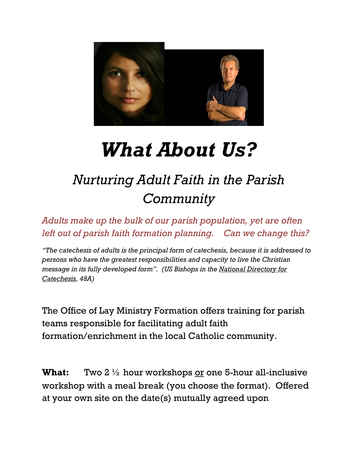

## *What About Us?*

## *Nurturing Adult Faith in the Parish Community*

*Adults make up the bulk of our parish population, yet are often left out of parish faith formation planning. Can we change this?*

*"The catechesis of adults is the principal form of catechesis, because it is addressed to persons who have the greatest responsibilities and capacity to live the Christian message in its fully developed form". (US Bishops in the National Directory for Catechesis, 48A)*

The Office of Lay Ministry Formation offers training for parish teams responsible for facilitating adult faith formation/enrichment in the local Catholic community.

**What:** Two 2  $\frac{1}{2}$  hour workshops <u>or</u> one 5-hour all-inclusive workshop with a meal break (you choose the format). Offered at your own site on the date(s) mutually agreed upon